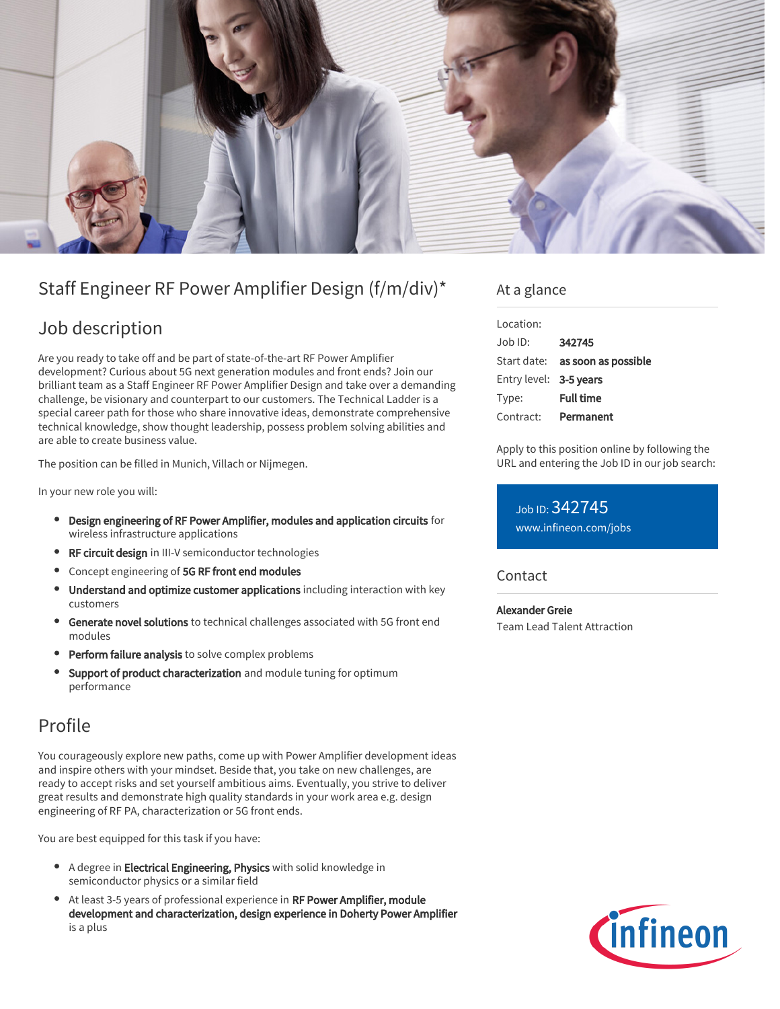

# Staff Engineer RF Power Amplifier Design (f/m/div)\*

## Job description

Are you ready to take off and be part of state-of-the-art RF Power Amplifier development? Curious about 5G next generation modules and front ends? Join our brilliant team as a Staff Engineer RF Power Amplifier Design and take over a demanding challenge, be visionary and counterpart to our customers. The Technical Ladder is a special career path for those who share innovative ideas, demonstrate comprehensive technical knowledge, show thought leadership, possess problem solving abilities and are able to create business value.

The position can be filled in Munich, Villach or Nijmegen.

In your new role you will:

- Design engineering of RF Power Amplifier, modules and application circuits for wireless infrastructure applications
- RF circuit design in III-V semiconductor technologies
- Concept engineering of 5G RF front end modules
- Understand and optimize customer applications including interaction with key customers
- Generate novel solutions to technical challenges associated with 5G front end  $\bullet$ modules
- **Perform failure analysis** to solve complex problems
- Support of product characterization and module tuning for optimum performance

## Profile

You courageously explore new paths, come up with Power Amplifier development ideas and inspire others with your mindset. Beside that, you take on new challenges, are ready to accept risks and set yourself ambitious aims. Eventually, you strive to deliver great results and demonstrate high quality standards in your work area e.g. design engineering of RF PA, characterization or 5G front ends.

You are best equipped for this task if you have:

- A degree in **Electrical Engineering, Physics** with solid knowledge in semiconductor physics or a similar field
- At least 3-5 years of professional experience in RF Power Amplifier, module development and characterization, design experience in Doherty Power Amplifier is a plus

### At a glance

| Location:              |                                 |
|------------------------|---------------------------------|
| $Joh$ ID:              | 342745                          |
|                        | Start date: as soon as possible |
| Entry level: 3-5 years |                                 |
| Type:                  | <b>Full time</b>                |
| Contract:              | Permanent                       |

Apply to this position online by following the URL and entering the Job ID in our job search:

Job ID: 342745 [www.infineon.com/jobs](https://www.infineon.com/jobs)

**Contact** 

Alexander Greie Team Lead Talent Attraction